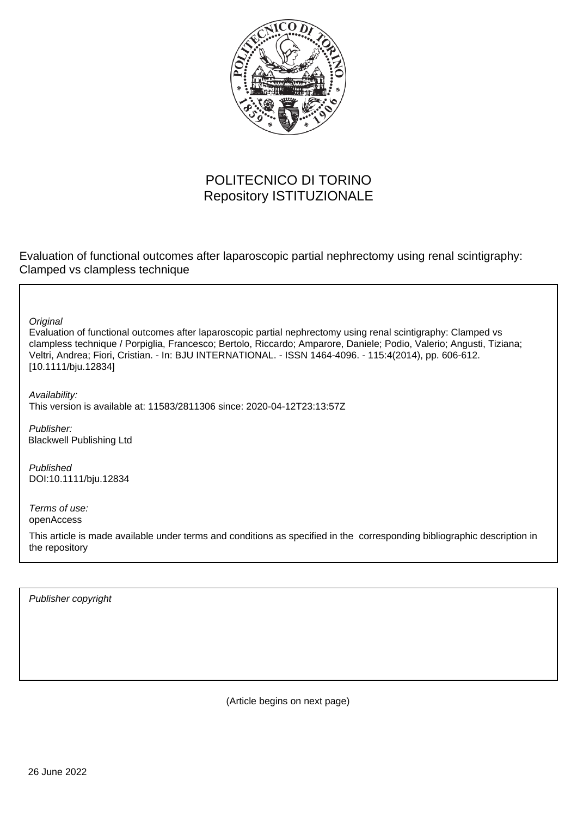

## POLITECNICO DI TORINO Repository ISTITUZIONALE

Evaluation of functional outcomes after laparoscopic partial nephrectomy using renal scintigraphy: Clamped vs clampless technique

**Original** 

Evaluation of functional outcomes after laparoscopic partial nephrectomy using renal scintigraphy: Clamped vs clampless technique / Porpiglia, Francesco; Bertolo, Riccardo; Amparore, Daniele; Podio, Valerio; Angusti, Tiziana; Veltri, Andrea; Fiori, Cristian. - In: BJU INTERNATIONAL. - ISSN 1464-4096. - 115:4(2014), pp. 606-612. [10.1111/bju.12834]

Availability: This version is available at: 11583/2811306 since: 2020-04-12T23:13:57Z

Publisher: Blackwell Publishing Ltd

Published DOI:10.1111/bju.12834

Terms of use: openAccess

This article is made available under terms and conditions as specified in the corresponding bibliographic description in the repository

Publisher copyright

(Article begins on next page)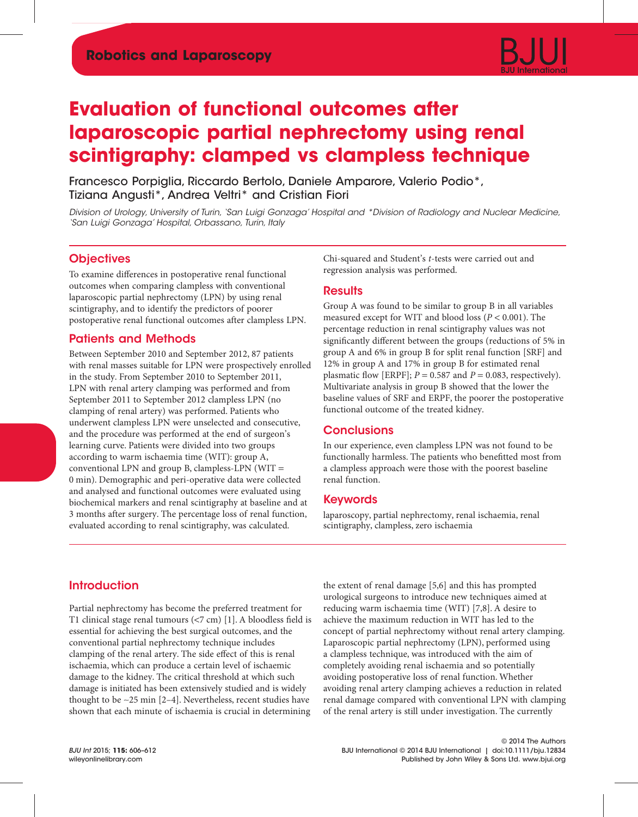# **Evaluation of functional outcomes after laparoscopic partial nephrectomy using renal scintigraphy: clamped vs clampless technique**

Francesco Porpiglia, Riccardo Bertolo, Daniele Amparore, Valerio Podio\*, Tiziana Angusti\*, Andrea Veltri\* and Cristian Fiori

Division of Urology, University of Turin, 'San Luigi Gonzaga' Hospital and \*Division of Radiology and Nuclear Medicine, 'San Luigi Gonzaga' Hospital, Orbassano, Turin, Italy

## **Objectives**

To examine differences in postoperative renal functional outcomes when comparing clampless with conventional laparoscopic partial nephrectomy (LPN) by using renal scintigraphy, and to identify the predictors of poorer postoperative renal functional outcomes after clampless LPN.

## Patients and Methods

Between September 2010 and September 2012, 87 patients with renal masses suitable for LPN were prospectively enrolled in the study. From September 2010 to September 2011, LPN with renal artery clamping was performed and from September 2011 to September 2012 clampless LPN (no clamping of renal artery) was performed. Patients who underwent clampless LPN were unselected and consecutive, and the procedure was performed at the end of surgeon's learning curve. Patients were divided into two groups according to warm ischaemia time (WIT): group A, conventional LPN and group B, clampless-LPN (WIT = 0 min). Demographic and peri-operative data were collected and analysed and functional outcomes were evaluated using biochemical markers and renal scintigraphy at baseline and at 3 months after surgery. The percentage loss of renal function, evaluated according to renal scintigraphy, was calculated.

Chi-squared and Student's *t*-tests were carried out and regression analysis was performed.

### **Results**

Group A was found to be similar to group B in all variables measured except for WIT and blood loss (*P* < 0.001). The percentage reduction in renal scintigraphy values was not significantly different between the groups (reductions of 5% in group A and 6% in group B for split renal function [SRF] and 12% in group A and 17% in group B for estimated renal plasmatic flow [ERPF];  $P = 0.587$  and  $P = 0.083$ , respectively). Multivariate analysis in group B showed that the lower the baseline values of SRF and ERPF, the poorer the postoperative functional outcome of the treated kidney.

## **Conclusions**

In our experience, even clampless LPN was not found to be functionally harmless. The patients who benefitted most from a clampless approach were those with the poorest baseline renal function.

### Keywords

laparoscopy, partial nephrectomy, renal ischaemia, renal scintigraphy, clampless, zero ischaemia

## **Introduction**

Partial nephrectomy has become the preferred treatment for T1 clinical stage renal tumours (<7 cm) [1]. A bloodless field is essential for achieving the best surgical outcomes, and the conventional partial nephrectomy technique includes clamping of the renal artery. The side effect of this is renal ischaemia, which can produce a certain level of ischaemic damage to the kidney. The critical threshold at which such damage is initiated has been extensively studied and is widely thought to be ∼25 min [2–4]. Nevertheless, recent studies have shown that each minute of ischaemia is crucial in determining

the extent of renal damage [5,6] and this has prompted urological surgeons to introduce new techniques aimed at reducing warm ischaemia time (WIT) [7,8]. A desire to achieve the maximum reduction in WIT has led to the concept of partial nephrectomy without renal artery clamping. Laparoscopic partial nephrectomy (LPN), performed using a clampless technique, was introduced with the aim of completely avoiding renal ischaemia and so potentially avoiding postoperative loss of renal function. Whether avoiding renal artery clamping achieves a reduction in related renal damage compared with conventional LPN with clamping of the renal artery is still under investigation. The currently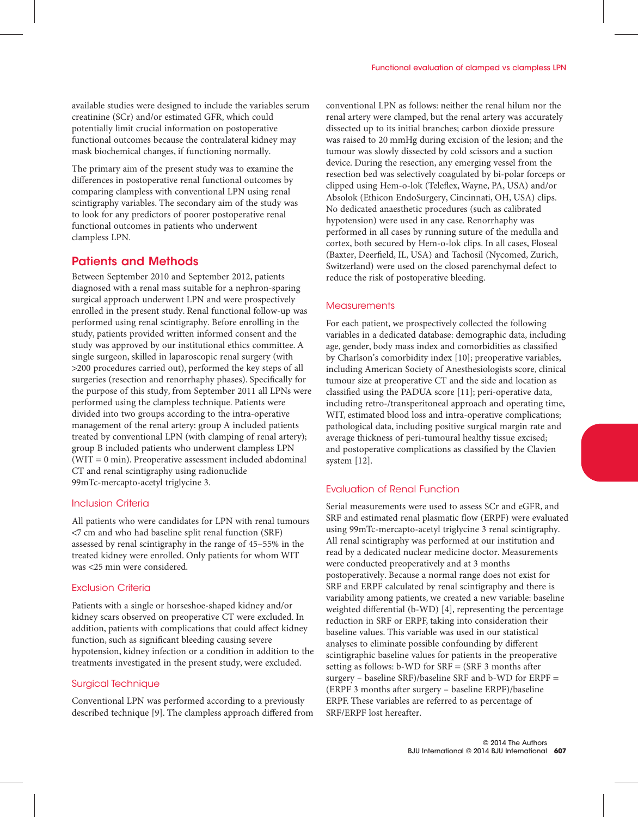available studies were designed to include the variables serum creatinine (SCr) and/or estimated GFR, which could potentially limit crucial information on postoperative functional outcomes because the contralateral kidney may mask biochemical changes, if functioning normally.

The primary aim of the present study was to examine the differences in postoperative renal functional outcomes by comparing clampless with conventional LPN using renal scintigraphy variables. The secondary aim of the study was to look for any predictors of poorer postoperative renal functional outcomes in patients who underwent clampless LPN.

## Patients and Methods

Between September 2010 and September 2012, patients diagnosed with a renal mass suitable for a nephron-sparing surgical approach underwent LPN and were prospectively enrolled in the present study. Renal functional follow-up was performed using renal scintigraphy. Before enrolling in the study, patients provided written informed consent and the study was approved by our institutional ethics committee. A single surgeon, skilled in laparoscopic renal surgery (with >200 procedures carried out), performed the key steps of all surgeries (resection and renorrhaphy phases). Specifically for the purpose of this study, from September 2011 all LPNs were performed using the clampless technique. Patients were divided into two groups according to the intra-operative management of the renal artery: group A included patients treated by conventional LPN (with clamping of renal artery); group B included patients who underwent clampless LPN (WIT = 0 min). Preoperative assessment included abdominal CT and renal scintigraphy using radionuclide 99mTc-mercapto-acetyl triglycine 3.

#### Inclusion Criteria

All patients who were candidates for LPN with renal tumours <7 cm and who had baseline split renal function (SRF) assessed by renal scintigraphy in the range of 45–55% in the treated kidney were enrolled. Only patients for whom WIT was <25 min were considered.

### Exclusion Criteria

Patients with a single or horseshoe-shaped kidney and/or kidney scars observed on preoperative CT were excluded. In addition, patients with complications that could affect kidney function, such as significant bleeding causing severe hypotension, kidney infection or a condition in addition to the treatments investigated in the present study, were excluded.

#### Surgical Technique

Conventional LPN was performed according to a previously described technique [9]. The clampless approach differed from conventional LPN as follows: neither the renal hilum nor the renal artery were clamped, but the renal artery was accurately dissected up to its initial branches; carbon dioxide pressure was raised to 20 mmHg during excision of the lesion; and the tumour was slowly dissected by cold scissors and a suction device. During the resection, any emerging vessel from the resection bed was selectively coagulated by bi-polar forceps or clipped using Hem-o-lok (Teleflex, Wayne, PA, USA) and/or Absolok (Ethicon EndoSurgery, Cincinnati, OH, USA) clips. No dedicated anaesthetic procedures (such as calibrated hypotension) were used in any case. Renorrhaphy was performed in all cases by running suture of the medulla and cortex, both secured by Hem-o-lok clips. In all cases, Floseal (Baxter, Deerfield, IL, USA) and Tachosil (Nycomed, Zurich, Switzerland) were used on the closed parenchymal defect to reduce the risk of postoperative bleeding.

#### **Measurements**

For each patient, we prospectively collected the following variables in a dedicated database: demographic data, including age, gender, body mass index and comorbidities as classified by Charlson's comorbidity index [10]; preoperative variables, including American Society of Anesthesiologists score, clinical tumour size at preoperative CT and the side and location as classified using the PADUA score [11]; peri-operative data, including retro-/transperitoneal approach and operating time, WIT, estimated blood loss and intra-operative complications; pathological data, including positive surgical margin rate and average thickness of peri-tumoural healthy tissue excised; and postoperative complications as classified by the Clavien system [12].

### Evaluation of Renal Function

Serial measurements were used to assess SCr and eGFR, and SRF and estimated renal plasmatic flow (ERPF) were evaluated using 99mTc-mercapto-acetyl triglycine 3 renal scintigraphy. All renal scintigraphy was performed at our institution and read by a dedicated nuclear medicine doctor. Measurements were conducted preoperatively and at 3 months postoperatively. Because a normal range does not exist for SRF and ERPF calculated by renal scintigraphy and there is variability among patients, we created a new variable: baseline weighted differential (b-WD) [4], representing the percentage reduction in SRF or ERPF, taking into consideration their baseline values. This variable was used in our statistical analyses to eliminate possible confounding by different scintigraphic baseline values for patients in the preoperative setting as follows: b-WD for SRF = (SRF 3 months after surgery – baseline SRF)/baseline SRF and b-WD for ERPF = (ERPF 3 months after surgery – baseline ERPF)/baseline ERPF. These variables are referred to as percentage of SRF/ERPF lost hereafter.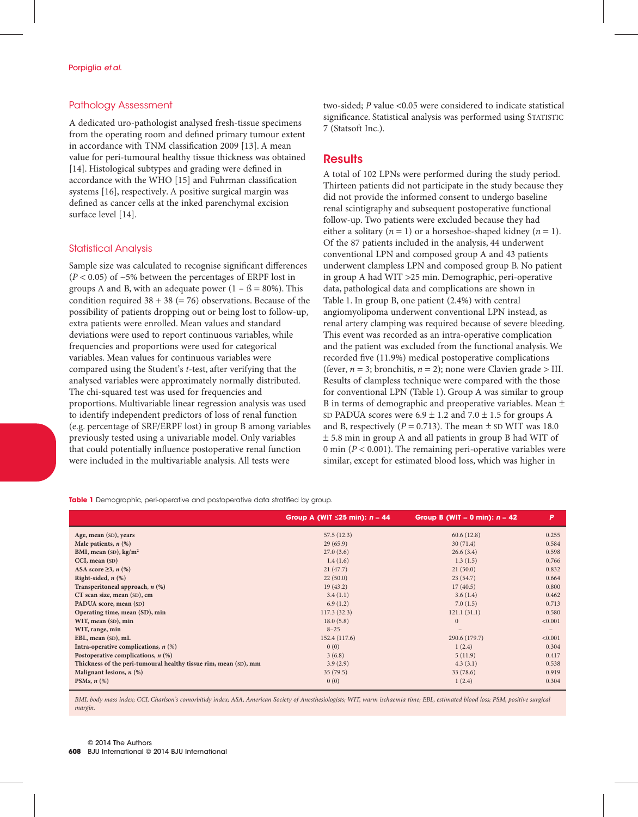#### Pathology Assessment

A dedicated uro-pathologist analysed fresh-tissue specimens from the operating room and defined primary tumour extent in accordance with TNM classification 2009 [13]. A mean value for peri-tumoural healthy tissue thickness was obtained [14]. Histological subtypes and grading were defined in accordance with the WHO [15] and Fuhrman classification systems [16], respectively. A positive surgical margin was defined as cancer cells at the inked parenchymal excision surface level [14].

#### Statistical Analysis

Sample size was calculated to recognise significant differences (*P* < 0.05) of ∼5% between the percentages of ERPF lost in groups A and B, with an adequate power  $(1 - \beta = 80\%)$ . This condition required  $38 + 38 (= 76)$  observations. Because of the possibility of patients dropping out or being lost to follow-up, extra patients were enrolled. Mean values and standard deviations were used to report continuous variables, while frequencies and proportions were used for categorical variables. Mean values for continuous variables were compared using the Student's *t*-test, after verifying that the analysed variables were approximately normally distributed. The chi-squared test was used for frequencies and proportions. Multivariable linear regression analysis was used to identify independent predictors of loss of renal function (e.g. percentage of SRF/ERPF lost) in group B among variables previously tested using a univariable model. Only variables that could potentially influence postoperative renal function were included in the multivariable analysis. All tests were

two-sided; *P* value <0.05 were considered to indicate statistical significance. Statistical analysis was performed using STATISTIC 7 (Statsoft Inc.).

## **Results**

A total of 102 LPNs were performed during the study period. Thirteen patients did not participate in the study because they did not provide the informed consent to undergo baseline renal scintigraphy and subsequent postoperative functional follow-up. Two patients were excluded because they had either a solitary  $(n = 1)$  or a horseshoe-shaped kidney  $(n = 1)$ . Of the 87 patients included in the analysis, 44 underwent conventional LPN and composed group A and 43 patients underwent clampless LPN and composed group B. No patient in group A had WIT >25 min. Demographic, peri-operative data, pathological data and complications are shown in Table 1. In group B, one patient (2.4%) with central angiomyolipoma underwent conventional LPN instead, as renal artery clamping was required because of severe bleeding. This event was recorded as an intra-operative complication and the patient was excluded from the functional analysis. We recorded five (11.9%) medical postoperative complications (fever,  $n = 3$ ; bronchitis,  $n = 2$ ); none were Clavien grade > III. Results of clampless technique were compared with the those for conventional LPN (Table 1). Group A was similar to group B in terms of demographic and preoperative variables. Mean ± SD PADUA scores were  $6.9 \pm 1.2$  and  $7.0 \pm 1.5$  for groups A and B, respectively ( $P = 0.713$ ). The mean  $\pm$  SD WIT was 18.0 ± 5.8 min in group A and all patients in group B had WIT of 0 min (*P* < 0.001). The remaining peri-operative variables were similar, except for estimated blood loss, which was higher in

**Table 1** Demographic, peri-operative and postoperative data stratified by group.

|                                                                  | Group A (WIT $\leq$ 25 min): $n = 44$ | Group B (WIT = 0 min): $n = 42$ | P                 |
|------------------------------------------------------------------|---------------------------------------|---------------------------------|-------------------|
| Age, mean (SD), years                                            | 57.5(12.3)                            | 60.6(12.8)                      | 0.255             |
| Male patients, $n$ (%)                                           | 29(65.9)                              | 30(71.4)                        | 0.584             |
| BMI, mean $(SD)$ , kg/m <sup>2</sup>                             | 27.0(3.6)                             | 26.6(3.4)                       | 0.598             |
| CCI, mean (SD)                                                   | 1.4(1.6)                              | 1.3(1.5)                        | 0.766             |
| ASA score $\geq 3$ , n (%)                                       | 21(47.7)                              | 21(50.0)                        | 0.832             |
| Right-sided, $n$ $(\%)$                                          | 22(50.0)                              | 23(54.7)                        | 0.664             |
| Transperitoneal approach, $n$ (%)                                | 19(43.2)                              | 17(40.5)                        | 0.800             |
| CT scan size, mean (SD), cm                                      | 3.4(1.1)                              | 3.6(1.4)                        | 0.462             |
| PADUA score, mean (SD)                                           | 6.9(1.2)                              | 7.0(1.5)                        | 0.713             |
| Operating time, mean (SD), min                                   | 117.3(32.3)                           | 121.1(31.1)                     | 0.580             |
| WIT, mean (SD), min                                              | 18.0(5.8)                             | $\mathbf{0}$                    | < 0.001           |
| WIT, range, min                                                  | $8 - 25$                              | $\qquad \qquad -$               | $\qquad \qquad -$ |
| EBL, mean (SD), mL                                               | 152.4 (117.6)                         | 290.6 (179.7)                   | < 0.001           |
| Intra-operative complications, $n$ (%)                           | 0(0)                                  | 1(2.4)                          | 0.304             |
| Postoperative complications, $n$ (%)                             | 3(6.8)                                | 5(11.9)                         | 0.417             |
| Thickness of the peri-tumoural healthy tissue rim, mean (SD), mm | 3.9(2.9)                              | 4.3(3.1)                        | 0.538             |
| Malignant lesions, $n$ (%)                                       | 35(79.5)                              | 33(78.6)                        | 0.919             |
| PSMs, $n$ $(\%)$                                                 | 0(0)                                  | 1(2.4)                          | 0.304             |

*BMI, body mass index; CCI, Charlson's comorbitidy index; ASA, American Society of Anesthesiologists; WIT, warm ischaemia time; EBL, estimated blood loss; PSM, positive surgical margin.*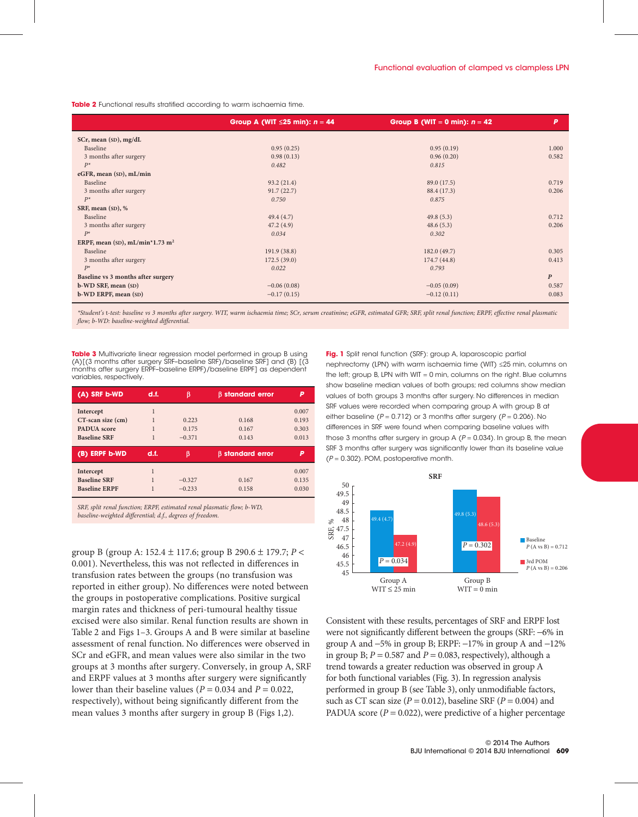**Table 2** Functional results stratified according to warm ischaemia time.

|                                    | Group A (WIT $\leq$ 25 min): $n = 44$ | Group B (WIT = 0 min): $n = 42$ | P                |
|------------------------------------|---------------------------------------|---------------------------------|------------------|
| SCr, mean (SD), mg/dL              |                                       |                                 |                  |
| Baseline                           | 0.95(0.25)                            | 0.95(0.19)                      | 1.000            |
| 3 months after surgery             | 0.98(0.13)                            | 0.96(0.20)                      | 0.582            |
| $P^*$                              | 0.482                                 | 0.815                           |                  |
| eGFR, mean (SD), mL/min            |                                       |                                 |                  |
| Baseline                           | 93.2(21.4)                            | 89.0 (17.5)                     | 0.719            |
| 3 months after surgery             | 91.7(22.7)                            | 88.4 (17.3)                     | 0.206            |
| $P^*$                              | 0.750                                 | 0.875                           |                  |
| SRF, mean (SD), %                  |                                       |                                 |                  |
| Baseline                           | 49.4(4.7)                             | 49.8(5.3)                       | 0.712            |
| 3 months after surgery             | 47.2(4.9)                             | 48.6(5.3)                       | 0.206            |
| $P^*$                              | 0.034                                 | 0.302                           |                  |
| ERPF, mean (SD), $mL/min*1.73 m2$  |                                       |                                 |                  |
| Baseline                           | 191.9 (38.8)                          | 182.0 (49.7)                    | 0.305            |
| 3 months after surgery             | 172.5(39.0)                           | 174.7(44.8)                     | 0.413            |
| $P^*$                              | 0.022                                 | 0.793                           |                  |
| Baseline vs 3 months after surgery |                                       |                                 | $\boldsymbol{P}$ |
| b-WD SRF, mean (SD)                | $-0.06(0.08)$                         | $-0.05(0.09)$                   | 0.587            |
| b-WD ERPF, mean (SD)               | $-0.17(0.15)$                         | $-0.12(0.11)$                   | 0.083            |

*\*Student's* t*-test: baseline vs 3 months after surgery. WIT, warm ischaemia time; SCr, serum creatinine; eGFR, estimated GFR; SRF, split renal function; ERPF, effective renal plasmatic flow; b-WD: baseline-weighted differential.*

**Table 3** Multivariate linear regression model performed in group B using (A)[(3 months after surgery SRF–baseline SRF)/baseline SRF] and (B) [(3 months after surgery ERPF–baseline ERPF)/baseline ERPF] as dependent variables, respectively.

| (A) SRF b-WD                                                         | d.f. | β                          | <b>B</b> standard error |                                  |
|----------------------------------------------------------------------|------|----------------------------|-------------------------|----------------------------------|
| Intercept<br>CT-scan size (cm)<br>PADUA score<br><b>Baseline SRF</b> |      | 0.223<br>0.175<br>$-0.371$ | 0.168<br>0.167<br>0.143 | 0.007<br>0.193<br>0.303<br>0.013 |
| (B) ERPF b-WD                                                        | d.f. | ß                          | <b>B</b> standard error |                                  |
| Intercept<br><b>Baseline SRF</b><br><b>Baseline ERPF</b>             | 1    | $-0.327$<br>$-0.233$       | 0.167<br>0.158          | 0.007<br>0.135<br>0.030          |

*SRF, split renal function; ERPF, estimated renal plasmatic flow; b-WD, baseline-weighted differential; d.f., degrees of freedom.*

group B (group A: 152.4 ± 117.6; group B 290.6 ± 179.7; *P* < 0.001). Nevertheless, this was not reflected in differences in transfusion rates between the groups (no transfusion was reported in either group). No differences were noted between the groups in postoperative complications. Positive surgical margin rates and thickness of peri-tumoural healthy tissue excised were also similar. Renal function results are shown in Table 2 and Figs 1–3. Groups A and B were similar at baseline assessment of renal function. No differences were observed in SCr and eGFR, and mean values were also similar in the two groups at 3 months after surgery. Conversely, in group A, SRF and ERPF values at 3 months after surgery were significantly lower than their baseline values ( $P = 0.034$  and  $P = 0.022$ , respectively), without being significantly different from the mean values 3 months after surgery in group B (Figs 1,2).

**Fig. 1** Split renal function (SRF): group A, laparoscopic partial nephrectomy (LPN) with warm ischaemia time (WIT) ≤25 min, columns on the left; group B, LPN with WIT = 0 min, columns on the right. Blue columns show baseline median values of both groups; red columns show median values of both groups 3 months after surgery. No differences in median SRF values were recorded when comparing group A with group B at either baseline ( $P = 0.712$ ) or 3 months after surgery ( $P = 0.206$ ). No differences in SRF were found when comparing baseline values with those 3 months after surgery in group A ( $P = 0.034$ ). In group B, the mean SRF 3 months after surgery was significantly lower than its baseline value  $(P = 0.302)$ . POM, postoperative month.



Consistent with these results, percentages of SRF and ERPF lost were not significantly different between the groups (SRF: −6% in group A and  $-5\%$  in group B; ERPF:  $-17\%$  in group A and  $-12\%$ in group B;  $P = 0.587$  and  $P = 0.083$ , respectively), although a trend towards a greater reduction was observed in group A for both functional variables (Fig. 3). In regression analysis performed in group B (see Table 3), only unmodifiable factors, such as CT scan size  $(P = 0.012)$ , baseline SRF  $(P = 0.004)$  and PADUA score  $(P = 0.022)$ , were predictive of a higher percentage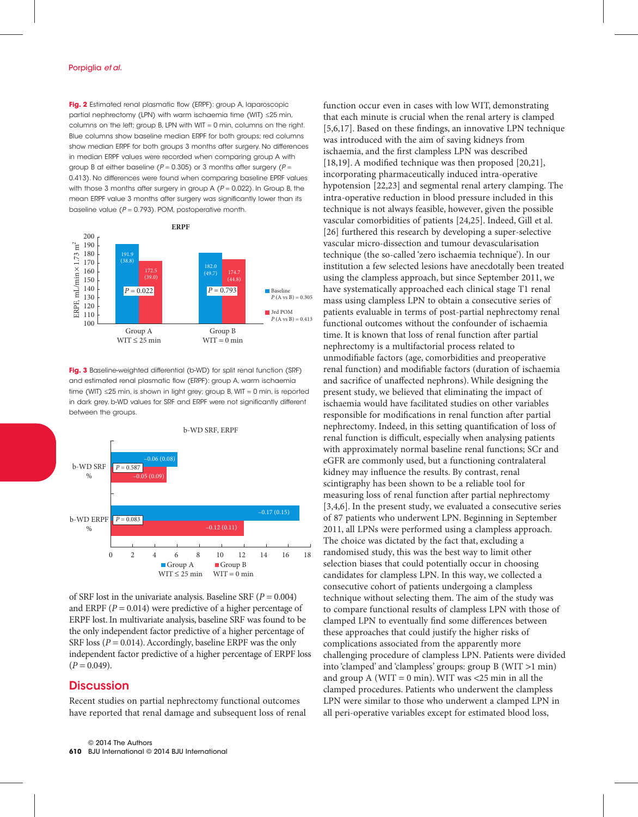**Fig. 2** Estimated renal plasmatic flow (ERPF): group A, laparoscopic partial nephrectomy (LPN) with warm ischaemia time (WIT) ≤25 min, columns on the left; group B, LPN with WIT = 0 min, columns on the right. Blue columns show baseline median ERPF for both groups; red columns show median ERPF for both groups 3 months after surgery. No differences in median ERPF values were recorded when comparing group A with group B at either baseline ( $P = 0.305$ ) or 3 months after surgery ( $P =$ 0.413). No differences were found when comparing baseline EPRF values with those 3 months after surgery in group A ( $P = 0.022$ ). In Group B, the mean ERPF value 3 months after surgery was significantly lower than its baseline value ( $P = 0.793$ ). POM, postoperative month.



**Fig. 3** Baseline-weighted differential (b-WD) for split renal function (SRF) and estimated renal plasmatic flow (ERPF): group A, warm ischaemia time (WIT) ≤25 min, is shown in light grey; group B, WIT = 0 min, is reported in dark grey. b-WD values for SRF and ERPF were not significantly different between the groups.



of SRF lost in the univariate analysis. Baseline SRF (*P* = 0.004) and ERPF  $(P = 0.014)$  were predictive of a higher percentage of ERPF lost. In multivariate analysis, baseline SRF was found to be the only independent factor predictive of a higher percentage of SRF loss ( $P = 0.014$ ). Accordingly, baseline ERPF was the only independent factor predictive of a higher percentage of ERPF loss  $(P = 0.049)$ .

#### **Discussion**

Recent studies on partial nephrectomy functional outcomes have reported that renal damage and subsequent loss of renal function occur even in cases with low WIT, demonstrating that each minute is crucial when the renal artery is clamped [5,6,17]. Based on these findings, an innovative LPN technique was introduced with the aim of saving kidneys from ischaemia, and the first clampless LPN was described [18,19]. A modified technique was then proposed [20,21], incorporating pharmaceutically induced intra-operative hypotension [22,23] and segmental renal artery clamping. The intra-operative reduction in blood pressure included in this technique is not always feasible, however, given the possible vascular comorbidities of patients [24,25]. Indeed, Gill et al. [26] furthered this research by developing a super-selective vascular micro-dissection and tumour devascularisation technique (the so-called 'zero ischaemia technique'). In our institution a few selected lesions have anecdotally been treated using the clampless approach, but since September 2011, we have systematically approached each clinical stage T1 renal mass using clampless LPN to obtain a consecutive series of patients evaluable in terms of post-partial nephrectomy renal functional outcomes without the confounder of ischaemia time. It is known that loss of renal function after partial nephrectomy is a multifactorial process related to unmodifiable factors (age, comorbidities and preoperative renal function) and modifiable factors (duration of ischaemia and sacrifice of unaffected nephrons). While designing the present study, we believed that eliminating the impact of ischaemia would have facilitated studies on other variables responsible for modifications in renal function after partial nephrectomy. Indeed, in this setting quantification of loss of renal function is difficult, especially when analysing patients with approximately normal baseline renal functions; SCr and eGFR are commonly used, but a functioning contralateral kidney may influence the results. By contrast, renal scintigraphy has been shown to be a reliable tool for measuring loss of renal function after partial nephrectomy [3,4,6]. In the present study, we evaluated a consecutive series of 87 patients who underwent LPN. Beginning in September 2011, all LPNs were performed using a clampless approach. The choice was dictated by the fact that, excluding a randomised study, this was the best way to limit other selection biases that could potentially occur in choosing candidates for clampless LPN. In this way, we collected a consecutive cohort of patients undergoing a clampless technique without selecting them. The aim of the study was to compare functional results of clampless LPN with those of clamped LPN to eventually find some differences between these approaches that could justify the higher risks of complications associated from the apparently more challenging procedure of clampless LPN. Patients were divided into 'clamped' and 'clampless' groups: group B (WIT >1 min) and group A (WIT = 0 min). WIT was  $\lt 25$  min in all the clamped procedures. Patients who underwent the clampless LPN were similar to those who underwent a clamped LPN in all peri-operative variables except for estimated blood loss,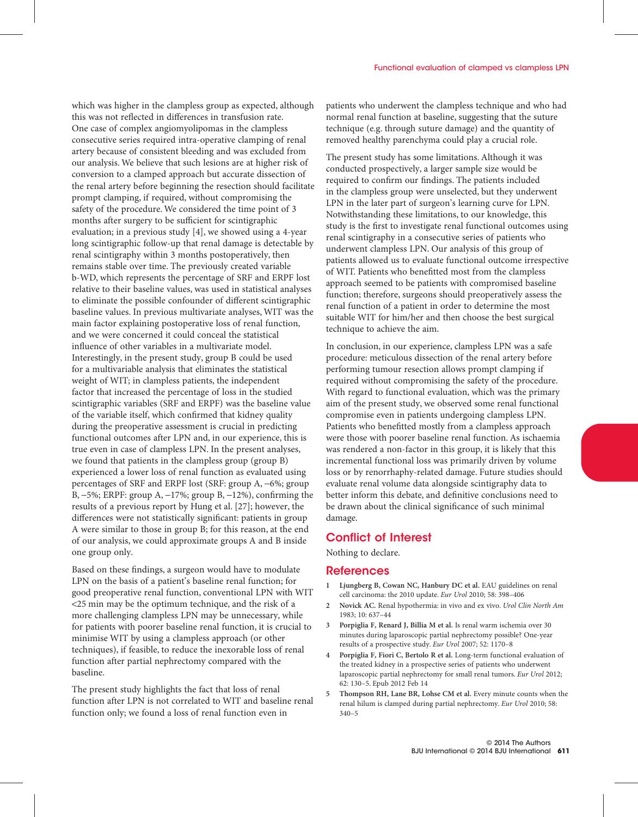which was higher in the clampless group as expected, although this was not reflected in differences in transfusion rate. One case of complex angiomyolipomas in the clampless consecutive series required intra-operative clamping of renal artery because of consistent bleeding and was excluded from our analysis. We believe that such lesions are at higher risk of conversion to a clamped approach but accurate dissection of the renal artery before beginning the resection should facilitate prompt clamping, if required, without compromising the safety of the procedure. We considered the time point of 3 months after surgery to be sufficient for scintigraphic evaluation; in a previous study [4], we showed using a 4-year long scintigraphic follow-up that renal damage is detectable by renal scintigraphy within 3 months postoperatively, then remains stable over time. The previously created variable b-WD, which represents the percentage of SRF and ERPF lost relative to their baseline values, was used in statistical analyses to eliminate the possible confounder of different scintigraphic baseline values. In previous multivariate analyses, WIT was the main factor explaining postoperative loss of renal function, and we were concerned it could conceal the statistical influence of other variables in a multivariate model. Interestingly, in the present study, group B could be used for a multivariable analysis that eliminates the statistical weight of WIT; in clampless patients, the independent factor that increased the percentage of loss in the studied scintigraphic variables (SRF and ERPF) was the baseline value of the variable itself, which confirmed that kidney quality during the preoperative assessment is crucial in predicting functional outcomes after LPN and, in our experience, this is true even in case of clampless LPN. In the present analyses, we found that patients in the clampless group (group B) experienced a lower loss of renal function as evaluated using percentages of SRF and ERPF lost (SRF: group A, −6%; group B, −5%; ERPF: group A, −17%; group B, −12%), confirming the results of a previous report by Hung et al. [27]; however, the differences were not statistically significant: patients in group A were similar to those in group B; for this reason, at the end of our analysis, we could approximate groups A and B inside one group only.

Based on these findings, a surgeon would have to modulate LPN on the basis of a patient's baseline renal function; for good preoperative renal function, conventional LPN with WIT <25 min may be the optimum technique, and the risk of a more challenging clampless LPN may be unnecessary, while for patients with poorer baseline renal function, it is crucial to minimise WIT by using a clampless approach (or other techniques), if feasible, to reduce the inexorable loss of renal function after partial nephrectomy compared with the baseline.

The present study highlights the fact that loss of renal function after LPN is not correlated to WIT and baseline renal function only; we found a loss of renal function even in

patients who underwent the clampless technique and who had normal renal function at baseline, suggesting that the suture technique (e.g. through suture damage) and the quantity of removed healthy parenchyma could play a crucial role.

The present study has some limitations. Although it was conducted prospectively, a larger sample size would be required to confirm our findings. The patients included in the clampless group were unselected, but they underwent LPN in the later part of surgeon's learning curve for LPN. Notwithstanding these limitations, to our knowledge, this study is the first to investigate renal functional outcomes using renal scintigraphy in a consecutive series of patients who underwent clampless LPN. Our analysis of this group of patients allowed us to evaluate functional outcome irrespective of WIT. Patients who benefitted most from the clampless approach seemed to be patients with compromised baseline function; therefore, surgeons should preoperatively assess the renal function of a patient in order to determine the most suitable WIT for him/her and then choose the best surgical technique to achieve the aim.

In conclusion, in our experience, clampless LPN was a safe procedure: meticulous dissection of the renal artery before performing tumour resection allows prompt clamping if required without compromising the safety of the procedure. With regard to functional evaluation, which was the primary aim of the present study, we observed some renal functional compromise even in patients undergoing clampless LPN. Patients who benefitted mostly from a clampless approach were those with poorer baseline renal function. As ischaemia was rendered a non-factor in this group, it is likely that this incremental functional loss was primarily driven by volume loss or by renorrhaphy-related damage. Future studies should evaluate renal volume data alongside scintigraphy data to better inform this debate, and definitive conclusions need to be drawn about the clinical significance of such minimal damage.

## Conflict of Interest

Nothing to declare.

#### **References**

- **1 Ljungberg B, Cowan NC, Hanbury DC et al.** EAU guidelines on renal cell carcinoma: the 2010 update. *Eur Urol* 2010; 58: 398–406
- **2 Novick AC.** Renal hypothermia: in vivo and ex vivo. *Urol Clin North Am* 1983; 10: 637–44
- **3 Porpiglia F, Renard J, Billia M et al.** Is renal warm ischemia over 30 minutes during laparoscopic partial nephrectomy possible? One-year results of a prospective study. *Eur Urol* 2007; 52: 1170–8
- **4 Porpiglia F, Fiori C, Bertolo R et al.** Long-term functional evaluation of the treated kidney in a prospective series of patients who underwent laparoscopic partial nephrectomy for small renal tumors. *Eur Urol* 2012; 62: 130–5. Epub 2012 Feb 14
- **5 Thompson RH, Lane BR, Lohse CM et al.** Every minute counts when the renal hilum is clamped during partial nephrectomy. *Eur Urol* 2010; 58: 340–5